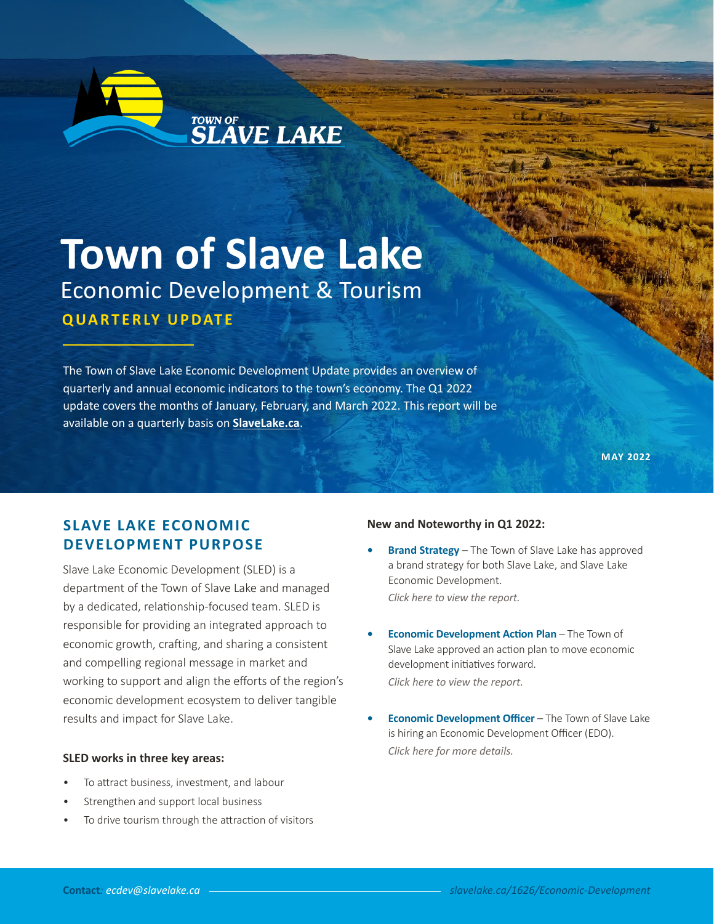

# **Town of Slave Lake** Economic Development & Tourism **QUARTERLY UPDATE**

TOWN OF **SLAVE LAKE** 

The Town of Slave Lake Economic Development Update provides an overview of quarterly and annual economic indicators to the town's economy. The Q1 2022 update covers the months of January, February, and March 2022. This report will be available on a quarterly basis on **[SlaveLake.ca](https://www.slavelake.ca/1626/Economic-Development)**.

**MAY 2022**

## **SLAVE LAKE ECONOMIC DEVELOPMENT PURPOSE**

Slave Lake Economic Development (SLED) is a department of the Town of Slave Lake and managed by a dedicated, relationship-focused team. SLED is responsible for providing an integrated approach to economic growth, crafting, and sharing a consistent and compelling regional message in market and working to support and align the efforts of the region's economic development ecosystem to deliver tangible results and impact for Slave Lake.

#### **SLED works in three key areas:**

- To attract business, investment, and labour
- Strengthen and support local business
- To drive tourism through the attraction of visitors

#### **New and Noteworthy in Q1 2022:**

- **• Brand Strategy** The Town of Slave Lake has approved a brand strategy for both Slave Lake, and Slave Lake Economic Development. *[Click here to view the report.](https://www.slavelake.ca/DocumentCenter/View/6379/22-01-31-Slave-Lake-Brand-Strategy)*
- **• Economic Development Action Plan** The Town of Slave Lake approved an action plan to move economic development initiatives forward. *[Click here to view the report.](https://www.slavelake.ca/DocumentCenter/View/6396/Slave-Lake-Economic-Development-Action-Plan)*
- **• Economic Development Officer** The Town of Slave Lake is hiring an Economic Development Officer (EDO). *[Click here for more details.](https://www.slavelake.ca/Jobs.aspx?UniqueId=106&From=All&CommunityJobs=False&JobID=Economic-Development-Officer-159)*